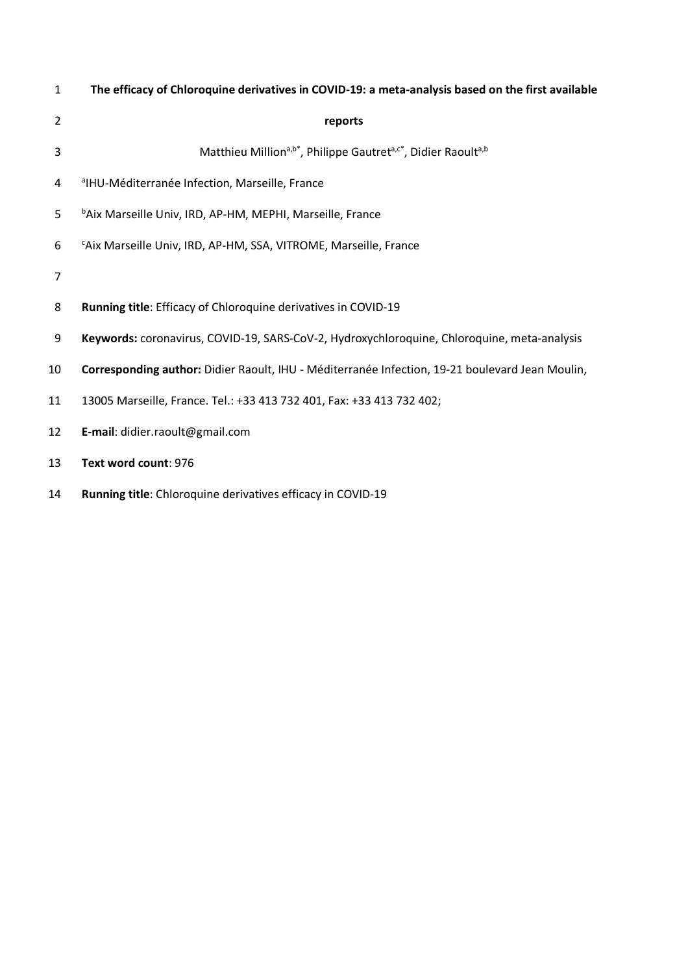| $\mathbf{1}$   | The efficacy of Chloroquine derivatives in COVID-19: a meta-analysis based on the first available |
|----------------|---------------------------------------------------------------------------------------------------|
| $\overline{2}$ | reports                                                                                           |
| 3              | Matthieu Million <sup>a,b*</sup> , Philippe Gautret <sup>a,c*</sup> , Didier Raoulta,b            |
| 4              | <sup>a</sup> IHU-Méditerranée Infection, Marseille, France                                        |
| 5              | <sup>b</sup> Aix Marseille Univ, IRD, AP-HM, MEPHI, Marseille, France                             |
| 6              | "Aix Marseille Univ, IRD, AP-HM, SSA, VITROME, Marseille, France                                  |
| 7              |                                                                                                   |
| 8              | Running title: Efficacy of Chloroquine derivatives in COVID-19                                    |
| 9              | Keywords: coronavirus, COVID-19, SARS-CoV-2, Hydroxychloroquine, Chloroquine, meta-analysis       |
| 10             | Corresponding author: Didier Raoult, IHU - Méditerranée Infection, 19-21 boulevard Jean Moulin,   |
| 11             | 13005 Marseille, France. Tel.: +33 413 732 401, Fax: +33 413 732 402;                             |
| 12             | E-mail: didier.raoult@gmail.com                                                                   |
| 13             | Text word count: 976                                                                              |
|                |                                                                                                   |

**Running title**: Chloroquine derivatives efficacy in COVID-19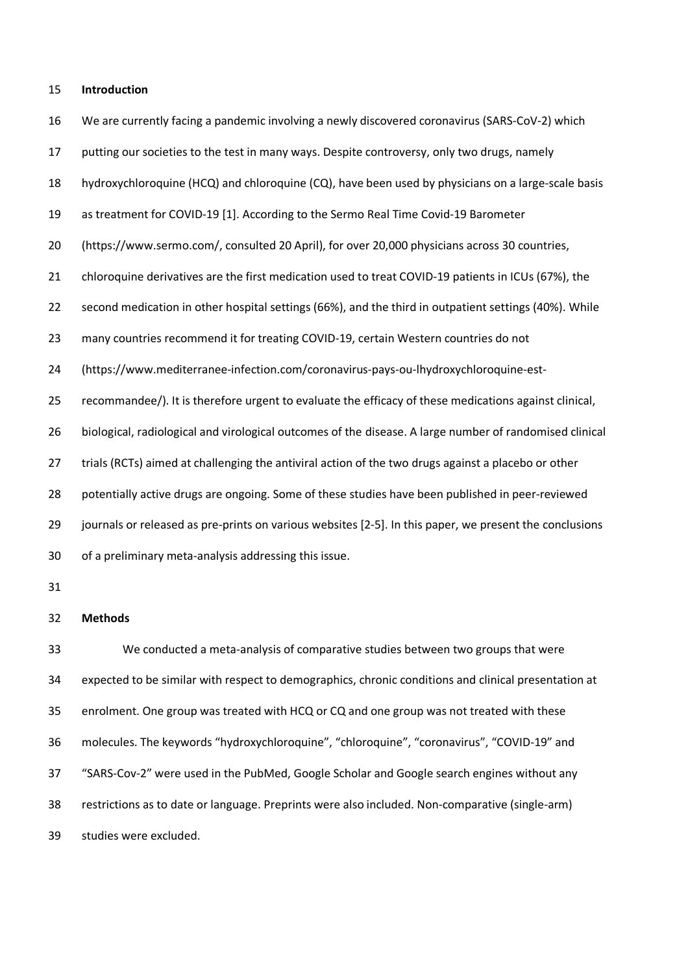#### **Introduction**

- We are currently facing a pandemic involving a newly discovered coronavirus (SARS-CoV-2) which
- putting our societies to the test in many ways. Despite controversy, only two drugs, namely
- hydroxychloroquine (HCQ) and chloroquine (CQ), have been used by physicians on a large-scale basis
- as treatment for COVID-19 [1]. According to the Sermo Real Time Covid-19 Barometer
- (https://www.sermo.com/, consulted 20 April), for over 20,000 physicians across 30 countries,
- chloroquine derivatives are the first medication used to treat COVID-19 patients in ICUs (67%), the
- second medication in other hospital settings (66%), and the third in outpatient settings (40%). While
- many countries recommend it for treating COVID-19, certain Western countries do not
- (https://www.mediterranee-infection.com/coronavirus-pays-ou-lhydroxychloroquine-est-
- recommandee/). It is therefore urgent to evaluate the efficacy of these medications against clinical,
- biological, radiological and virological outcomes of the disease. A large number of randomised clinical
- trials (RCTs) aimed at challenging the antiviral action of the two drugs against a placebo or other
- potentially active drugs are ongoing. Some of these studies have been published in peer-reviewed
- journals or released as pre-prints on various websites [2-5]. In this paper, we present the conclusions
- of a preliminary meta-analysis addressing this issue.
- 

# **Methods**

 We conducted a meta-analysis of comparative studies between two groups that were expected to be similar with respect to demographics, chronic conditions and clinical presentation at enrolment. One group was treated with HCQ or CQ and one group was not treated with these molecules. The keywords "hydroxychloroquine", "chloroquine", "coronavirus", "COVID-19" and "SARS-Cov-2" were used in the PubMed, Google Scholar and Google search engines without any restrictions as to date or language. Preprints were also included. Non-comparative (single-arm) studies were excluded.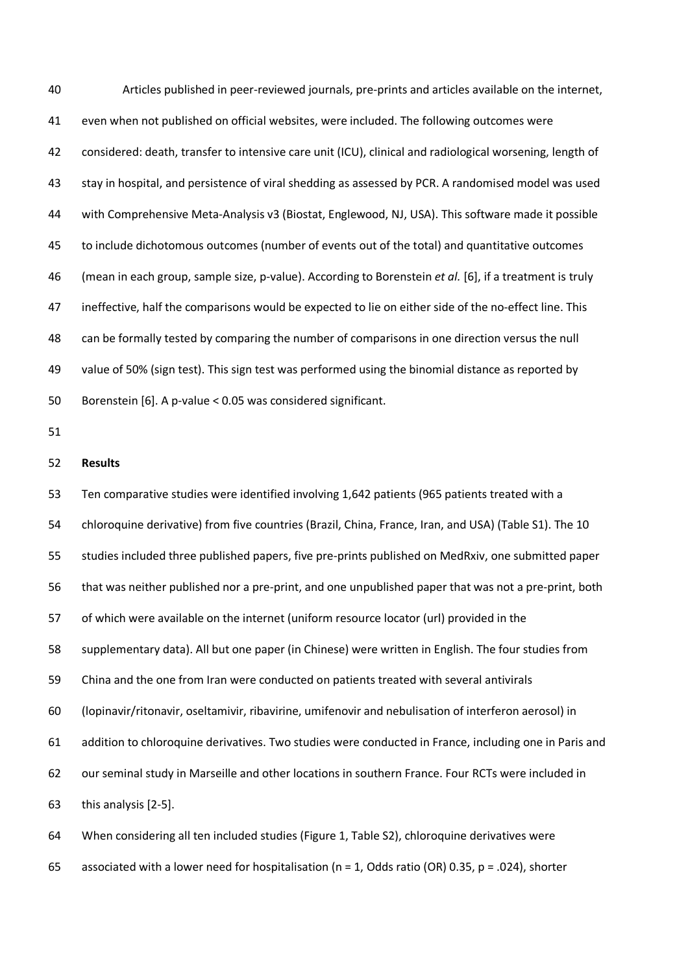Articles published in peer-reviewed journals, pre-prints and articles available on the internet, even when not published on official websites, were included. The following outcomes were considered: death, transfer to intensive care unit (ICU), clinical and radiological worsening, length of stay in hospital, and persistence of viral shedding as assessed by PCR. A randomised model was used with Comprehensive Meta-Analysis v3 (Biostat, Englewood, NJ, USA). This software made it possible to include dichotomous outcomes (number of events out of the total) and quantitative outcomes (mean in each group, sample size, p-value). According to Borenstein *et al.* [6], if a treatment is truly ineffective, half the comparisons would be expected to lie on either side of the no-effect line. This can be formally tested by comparing the number of comparisons in one direction versus the null value of 50% (sign test). This sign test was performed using the binomial distance as reported by Borenstein [6]. A p-value < 0.05 was considered significant. **Results** Ten comparative studies were identified involving 1,642 patients (965 patients treated with a chloroquine derivative) from five countries (Brazil, China, France, Iran, and USA) (Table S1). The 10 studies included three published papers, five pre-prints published on MedRxiv, one submitted paper that was neither published nor a pre-print, and one unpublished paper that was not a pre-print, both of which were available on the internet (uniform resource locator (url) provided in the supplementary data). All but one paper (in Chinese) were written in English. The four studies from China and the one from Iran were conducted on patients treated with several antivirals (lopinavir/ritonavir, oseltamivir, ribavirine, umifenovir and nebulisation of interferon aerosol) in addition to chloroquine derivatives. Two studies were conducted in France, including one in Paris and our seminal study in Marseille and other locations in southern France. Four RCTs were included in this analysis [2-5]. When considering all ten included studies (Figure 1, Table S2), chloroquine derivatives were

65 associated with a lower need for hospitalisation ( $n = 1$ , Odds ratio (OR) 0.35,  $p = .024$ ), shorter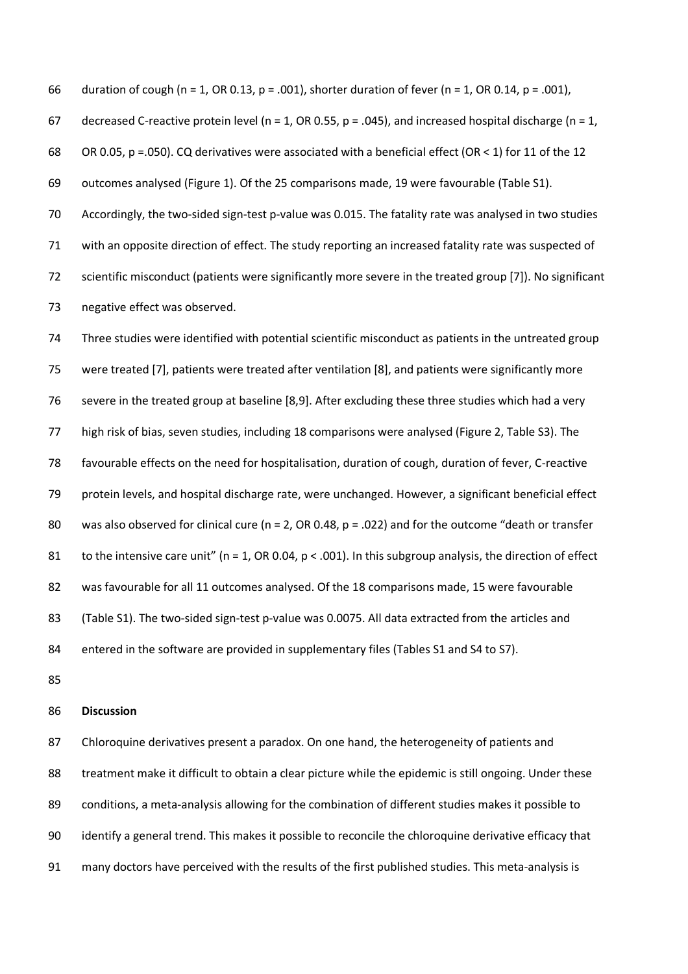66 duration of cough (n = 1, OR 0.13, p = .001), shorter duration of fever (n = 1, OR 0.14, p = .001), 67 decreased C-reactive protein level (n = 1, OR 0.55, p = .045), and increased hospital discharge (n = 1, 68 OR 0.05, p =.050). CQ derivatives were associated with a beneficial effect (OR < 1) for 11 of the 12 outcomes analysed (Figure 1). Of the 25 comparisons made, 19 were favourable (Table S1). Accordingly, the two-sided sign-test p-value was 0.015. The fatality rate was analysed in two studies with an opposite direction of effect. The study reporting an increased fatality rate was suspected of scientific misconduct (patients were significantly more severe in the treated group [7]). No significant negative effect was observed.

 Three studies were identified with potential scientific misconduct as patients in the untreated group were treated [7], patients were treated after ventilation [8], and patients were significantly more severe in the treated group at baseline [8,9]. After excluding these three studies which had a very high risk of bias, seven studies, including 18 comparisons were analysed (Figure 2, Table S3). The favourable effects on the need for hospitalisation, duration of cough, duration of fever, C-reactive protein levels, and hospital discharge rate, were unchanged. However, a significant beneficial effect 80 was also observed for clinical cure ( $n = 2$ , OR 0.48,  $p = .022$ ) and for the outcome "death or transfer 81 to the intensive care unit" ( $n = 1$ , OR 0.04,  $p < .001$ ). In this subgroup analysis, the direction of effect was favourable for all 11 outcomes analysed. Of the 18 comparisons made, 15 were favourable (Table S1). The two-sided sign-test p-value was 0.0075. All data extracted from the articles and entered in the software are provided in supplementary files (Tables S1 and S4 to S7).

### **Discussion**

 Chloroquine derivatives present a paradox. On one hand, the heterogeneity of patients and treatment make it difficult to obtain a clear picture while the epidemic is still ongoing. Under these conditions, a meta-analysis allowing for the combination of different studies makes it possible to identify a general trend. This makes it possible to reconcile the chloroquine derivative efficacy that many doctors have perceived with the results of the first published studies. This meta-analysis is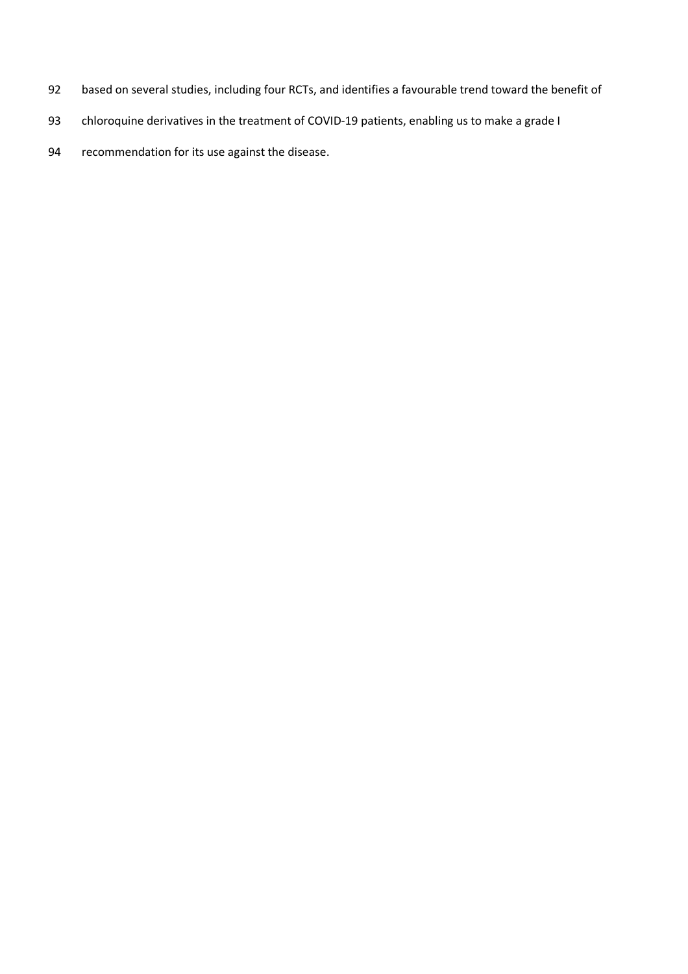- based on several studies, including four RCTs, and identifies a favourable trend toward the benefit of
- 93 chloroquine derivatives in the treatment of COVID-19 patients, enabling us to make a grade I
- recommendation for its use against the disease.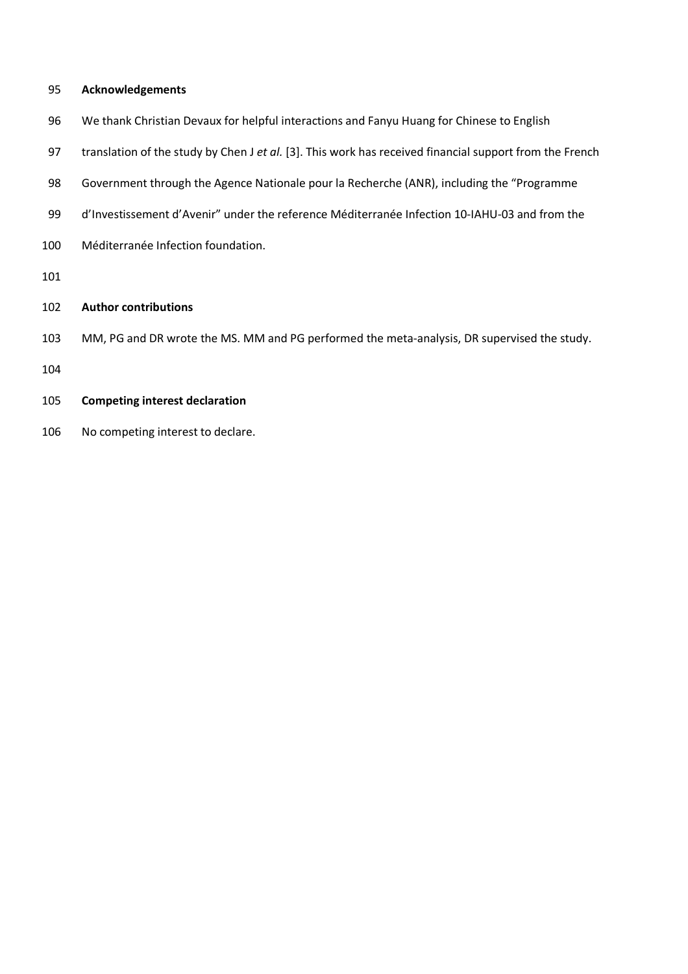## **Acknowledgements**

- We thank Christian Devaux for helpful interactions and Fanyu Huang for Chinese to English
- translation of the study by Chen J *et al.* [3]. This work has received financial support from the French
- Government through the Agence Nationale pour la Recherche (ANR), including the "Programme
- d'Investissement d'Avenir" under the reference Méditerranée Infection 10-IAHU-03 and from the
- Méditerranée Infection foundation.
- 

# **Author contributions**

- MM, PG and DR wrote the MS. MM and PG performed the meta-analysis, DR supervised the study.
- 

# **Competing interest declaration**

No competing interest to declare.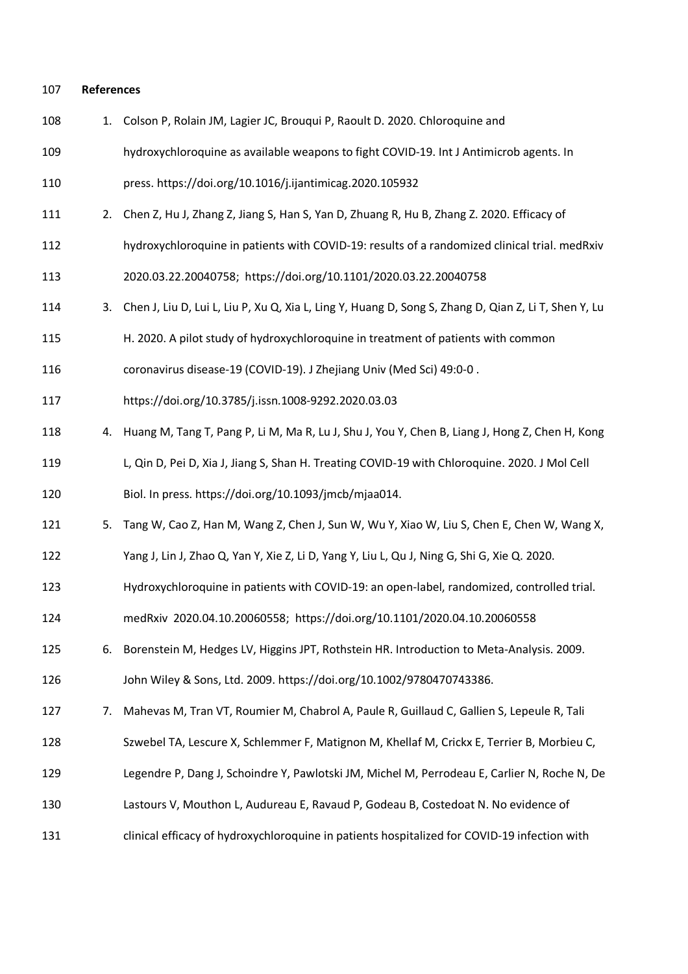#### **References**

- 1. Colson P, Rolain JM, Lagier JC, Brouqui P, Raoult D. 2020. Chloroquine and
- hydroxychloroquine as available weapons to fight COVID-19. Int J Antimicrob agents. In
- press. https://doi.org/10.1016/j.ijantimicag.2020.105932
- 2. Chen Z, Hu J, Zhang Z, Jiang S, Han S, Yan D, Zhuang R, Hu B, Zhang Z. 2020. Efficacy of
- hydroxychloroquine in patients with COVID-19: results of a randomized clinical trial. medRxiv
- 2020.03.22.20040758; https://doi.org/10.1101/2020.03.22.20040758
- 3. Chen J, Liu D, Lui L, Liu P, Xu Q, Xia L, Ling Y, Huang D, Song S, Zhang D, Qian Z, Li T, Shen Y, Lu
- H. 2020. A pilot study of hydroxychloroquine in treatment of patients with common
- coronavirus disease-19 (COVID-19). J Zhejiang Univ (Med Sci) 49:0-0 .
- https://doi.org/10.3785/j.issn.1008-9292.2020.03.03
- 4. Huang M, Tang T, Pang P, Li M, Ma R, Lu J, Shu J, You Y, Chen B, Liang J, Hong Z, Chen H, Kong L, Qin D, Pei D, Xia J, Jiang S, Shan H. Treating COVID-19 with Chloroquine. 2020. J Mol Cell Biol. In press. https://doi.org/10.1093/jmcb/mjaa014.
- 5. Tang W, Cao Z, Han M, Wang Z, Chen J, Sun W, Wu Y, Xiao W, Liu S, Chen E, Chen W, Wang X,
- Yang J, Lin J, Zhao Q, Yan Y, Xie Z, Li D, Yang Y, Liu L, Qu J, Ning G, Shi G, Xie Q. 2020.
- Hydroxychloroquine in patients with COVID-19: an open-label, randomized, controlled trial.
- medRxiv 2020.04.10.20060558; https://doi.org/10.1101/2020.04.10.20060558
- 6. Borenstein M, Hedges LV, Higgins JPT, Rothstein HR. Introduction to Meta-Analysis. 2009. John Wiley & Sons, Ltd. 2009. https://doi.org/10.1002/9780470743386.
- 7. Mahevas M, Tran VT, Roumier M, Chabrol A, Paule R, Guillaud C, Gallien S, Lepeule R, Tali
- Szwebel TA, Lescure X, Schlemmer F, Matignon M, Khellaf M, Crickx E, Terrier B, Morbieu C,
- Legendre P, Dang J, Schoindre Y, Pawlotski JM, Michel M, Perrodeau E, Carlier N, Roche N, De
- Lastours V, Mouthon L, Audureau E, Ravaud P, Godeau B, Costedoat N. No evidence of
- clinical efficacy of hydroxychloroquine in patients hospitalized for COVID-19 infection with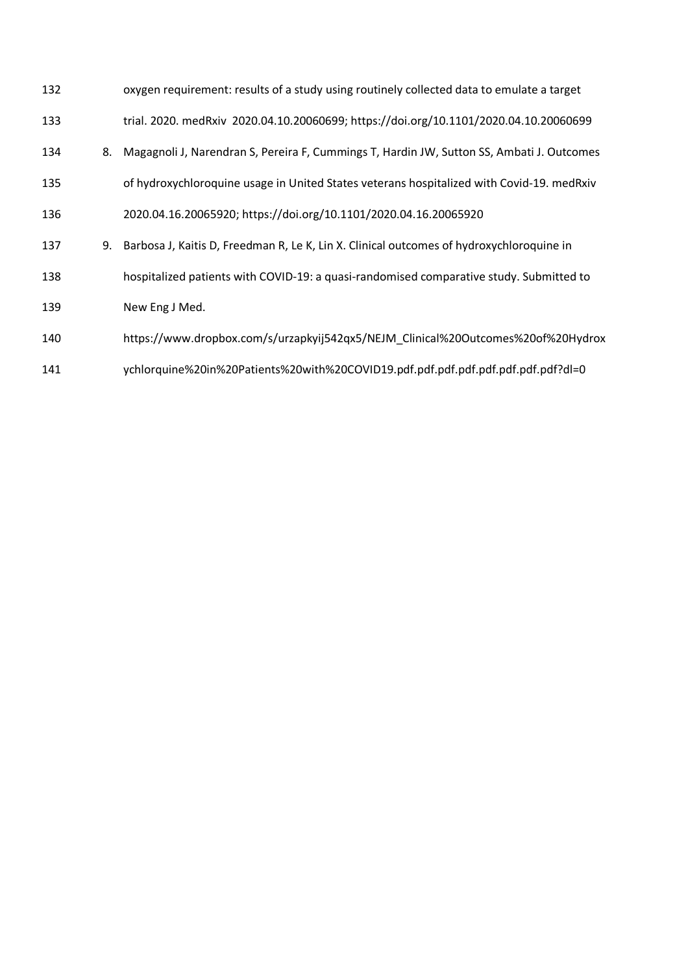| 132 |    | oxygen requirement: results of a study using routinely collected data to emulate a target    |
|-----|----|----------------------------------------------------------------------------------------------|
| 133 |    | trial. 2020. medRxiv 2020.04.10.20060699; https://doi.org/10.1101/2020.04.10.20060699        |
| 134 |    | 8. Magagnoli J, Narendran S, Pereira F, Cummings T, Hardin JW, Sutton SS, Ambati J. Outcomes |
| 135 |    | of hydroxychloroquine usage in United States veterans hospitalized with Covid-19. medRxiv    |
| 136 |    | 2020.04.16.20065920; https://doi.org/10.1101/2020.04.16.20065920                             |
| 137 | 9. | Barbosa J, Kaitis D, Freedman R, Le K, Lin X. Clinical outcomes of hydroxychloroquine in     |
| 138 |    | hospitalized patients with COVID-19: a quasi-randomised comparative study. Submitted to      |
| 139 |    | New Eng J Med.                                                                               |
| 140 |    | https://www.dropbox.com/s/urzapkyij542qx5/NEJM_Clinical%20Outcomes%20of%20Hydrox             |
| 141 |    | ychlorquine%20in%20Patients%20with%20COVID19.pdf.pdf.pdf.pdf.pdf.pdf.pdf.pdf?dl=0            |